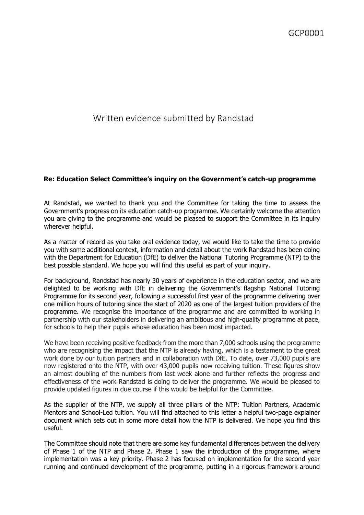## Written evidence submitted by Randstad

## **Re: Education Select Committee's inquiry on the Government's catch-up programme**

At Randstad, we wanted to thank you and the Committee for taking the time to assess the Government's progress on its education catch-up programme. We certainly welcome the attention you are giving to the programme and would be pleased to support the Committee in its inquiry wherever helpful.

As a matter of record as you take oral evidence today, we would like to take the time to provide you with some additional context, information and detail about the work Randstad has been doing with the Department for Education (DfE) to deliver the National Tutoring Programme (NTP) to the best possible standard. We hope you will find this useful as part of your inquiry.

For background, Randstad has nearly 30 years of experience in the education sector, and we are delighted to be working with DfE in delivering the Government's flagship National Tutoring Programme for its second year, following a successful first year of the programme delivering over one million hours of tutoring since the start of 2020 as one of the largest tuition providers of the programme. We recognise the importance of the programme and are committed to working in partnership with our stakeholders in delivering an ambitious and high-quality programme at pace, for schools to help their pupils whose education has been most impacted.

We have been receiving positive feedback from the more than 7,000 schools using the programme who are recognising the impact that the NTP is already having, which is a testament to the great work done by our tuition partners and in collaboration with DfE. To date, over 73,000 pupils are now registered onto the NTP, with over 43,000 pupils now receiving tuition. These figures show an almost doubling of the numbers from last week alone and further reflects the progress and effectiveness of the work Randstad is doing to deliver the programme. We would be pleased to provide updated figures in due course if this would be helpful for the Committee.

As the supplier of the NTP, we supply all three pillars of the NTP: Tuition Partners, Academic Mentors and School-Led tuition. You will find attached to this letter a helpful two-page explainer document which sets out in some more detail how the NTP is delivered. We hope you find this useful.

The Committee should note that there are some key fundamental differences between the delivery of Phase 1 of the NTP and Phase 2. Phase 1 saw the introduction of the programme, where implementation was a key priority. Phase 2 has focused on implementation for the second year running and continued development of the programme, putting in a rigorous framework around